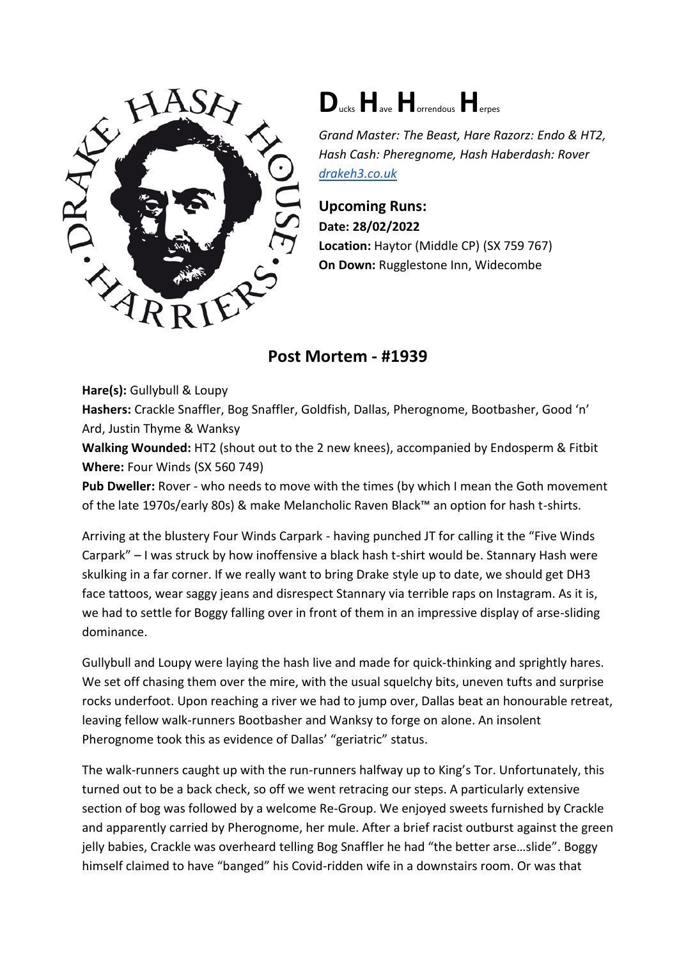

## **D**ucks**H**ave**H**orrendous**H**erpes

*Grand Master: The Beast, Hare Razorz: Endo & HT2, Hash Cash: Pheregnome, Hash Haberdash: Rover [drakeh3.co.uk](http://drakeh3.co.uk/)*

**Upcoming Runs: Date: 28/02/2022 Location:** Haytor (Middle CP) (SX 759 767) **On Down:** Rugglestone Inn, Widecombe

**Post Mortem - #1939**

**Hare(s):** Gullybull & Loupy

**Hashers:** Crackle Snaffler, Bog Snaffler, Goldfish, Dallas, Pherognome, Bootbasher, Good 'n' Ard, Justin Thyme & Wanksy

**Walking Wounded:** HT2 (shout out to the 2 new knees), accompanied by Endosperm & Fitbit **Where:** Four Winds (SX 560 749)

**Pub Dweller:** Rover - who needs to move with the times (by which I mean the Goth movement of the late 1970s/early 80s) & make Melancholic Raven Black™ an option for hash t-shirts.

Arriving at the blustery Four Winds Carpark - having punched JT for calling it the "Five Winds Carpark" – I was struck by how inoffensive a black hash t-shirt would be. Stannary Hash were skulking in a far corner. If we really want to bring Drake style up to date, we should get DH3 face tattoos, wear saggy jeans and disrespect Stannary via terrible raps on Instagram. As it is, we had to settle for Boggy falling over in front of them in an impressive display of arse-sliding dominance.

Gullybull and Loupy were laying the hash live and made for quick-thinking and sprightly hares. We set off chasing them over the mire, with the usual squelchy bits, uneven tufts and surprise rocks underfoot. Upon reaching a river we had to jump over, Dallas beat an honourable retreat, leaving fellow walk-runners Bootbasher and Wanksy to forge on alone. An insolent Pherognome took this as evidence of Dallas' "geriatric" status.

The walk-runners caught up with the run-runners halfway up to King's Tor. Unfortunately, this turned out to be a back check, so off we went retracing our steps. A particularly extensive section of bog was followed by a welcome Re-Group. We enjoyed sweets furnished by Crackle and apparently carried by Pherognome, her mule. After a brief racist outburst against the green jelly babies, Crackle was overheard telling Bog Snaffler he had "the better arse…slide". Boggy himself claimed to have "banged" his Covid-ridden wife in a downstairs room. Or was that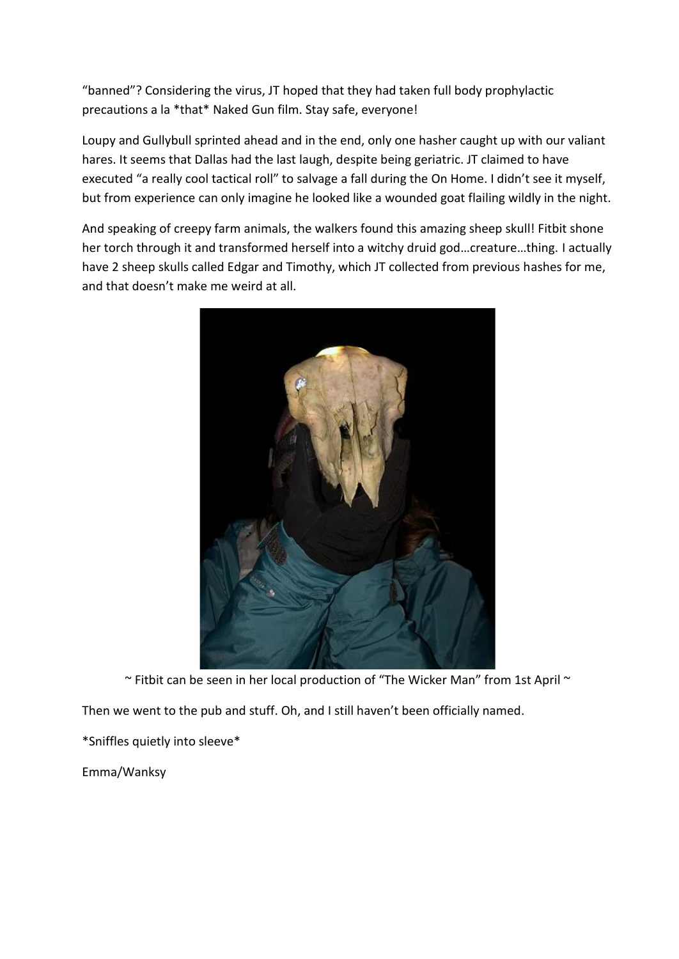"banned"? Considering the virus, JT hoped that they had taken full body prophylactic precautions a la \*that\* Naked Gun film. Stay safe, everyone!

Loupy and Gullybull sprinted ahead and in the end, only one hasher caught up with our valiant hares. It seems that Dallas had the last laugh, despite being geriatric. JT claimed to have executed "a really cool tactical roll" to salvage a fall during the On Home. I didn't see it myself, but from experience can only imagine he looked like a wounded goat flailing wildly in the night.

And speaking of creepy farm animals, the walkers found this amazing sheep skull! Fitbit shone her torch through it and transformed herself into a witchy druid god…creature…thing. I actually have 2 sheep skulls called Edgar and Timothy, which JT collected from previous hashes for me, and that doesn't make me weird at all.



~ Fitbit can be seen in her local production of "The Wicker Man" from 1st April ~

Then we went to the pub and stuff. Oh, and I still haven't been officially named.

\*Sniffles quietly into sleeve\*

Emma/Wanksy